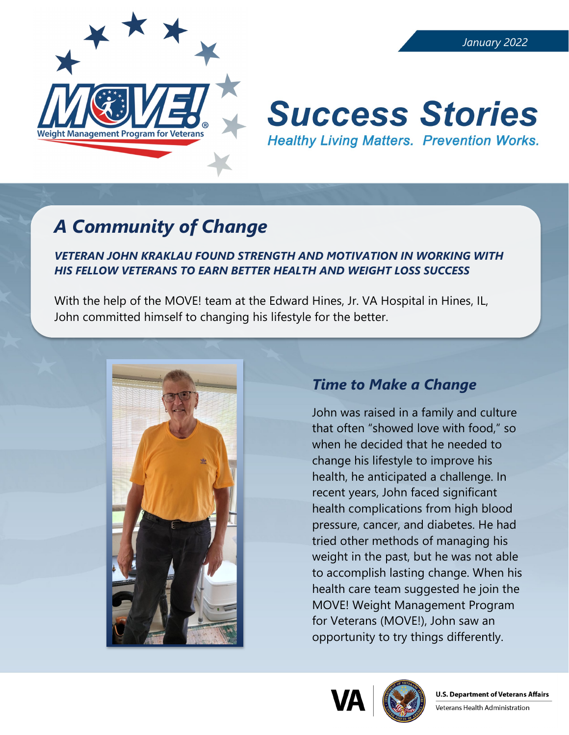

#### *January 2022*

# **Success Stories Healthy Living Matters. Prevention Works.**

## *A Community of Change*

#### *VETERAN JOHN KRAKLAU FOUND STRENGTH AND MOTIVATION IN WORKING WITH HIS FELLOW VETERANS TO EARN BETTER HEALTH AND WEIGHT LOSS SUCCESS*

With the help of the MOVE! team at the Edward Hines, Jr. VA Hospital in Hines, IL, John committed himself to changing his lifestyle for the better.



### *Time to Make a Change*

John was raised in a family and culture that often "showed love with food," so when he decided that he needed to change his lifestyle to improve his health, he anticipated a challenge. In recent years, John faced significant health complications from high blood pressure, cancer, and diabetes. He had tried other methods of managing his weight in the past, but he was not able to accomplish lasting change. When his health care team suggested he join the MOVE! Weight Management Program for Veterans (MOVE!), John saw an opportunity to try things differently.



Veterans Health Administration